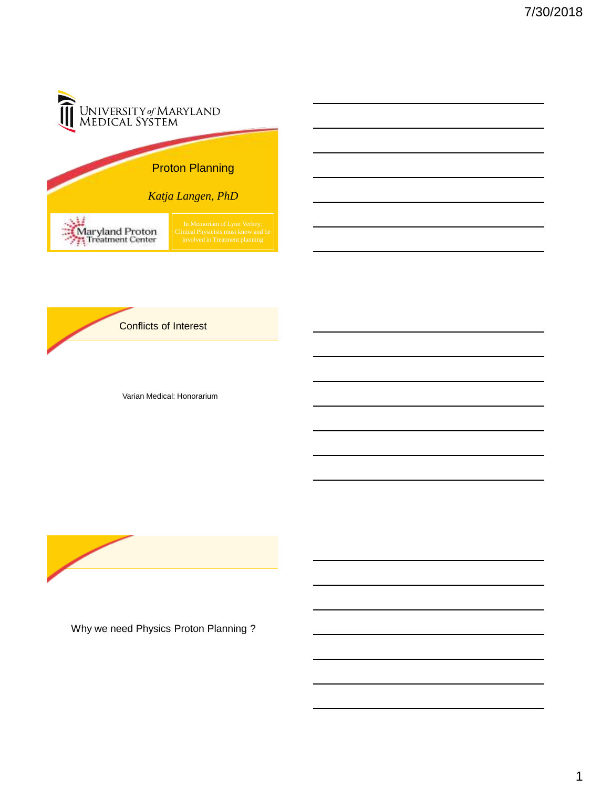



Varian Medical: Honorarium



Why we need Physics Proton Planning ?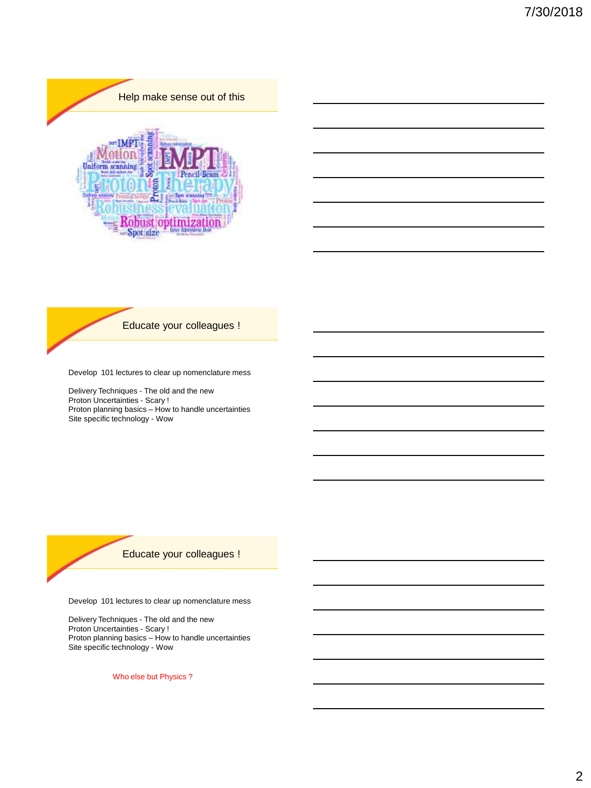

Educate your colleagues !

Develop 101 lectures to clear up nomenclature mess

Delivery Techniques - The old and the new Proton Uncertainties - Scary ! Proton planning basics – How to handle uncertainties Site specific technology - Wow



Develop 101 lectures to clear up nomenclature mess

Delivery Techniques - The old and the new Proton Uncertainties - Scary ! Proton planning basics – How to handle uncertainties Site specific technology - Wow

Who else but Physics ?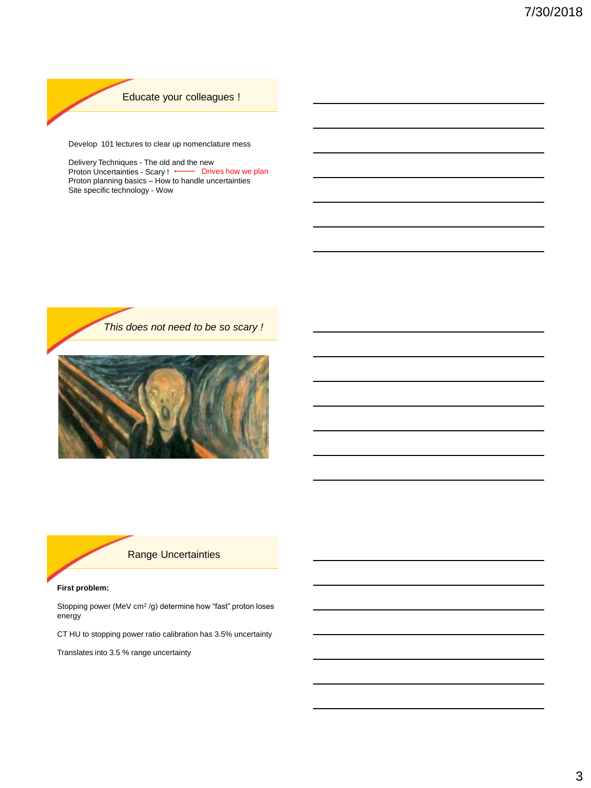## Educate your colleagues !

Develop 101 lectures to clear up nomenclature mess

Delivery Techniques - The old and the new Proton Uncertainties - Scary ! - Drives how we plan Proton planning basics – How to handle uncertainties Site specific technology - Wow



## Range Uncertainties

#### **First problem:**

Stopping power (MeV cm<sup>2</sup>/g) determine how "fast" proton loses energy

CT HU to stopping power ratio calibration has 3.5% uncertainty

Translates into 3.5 % range uncertainty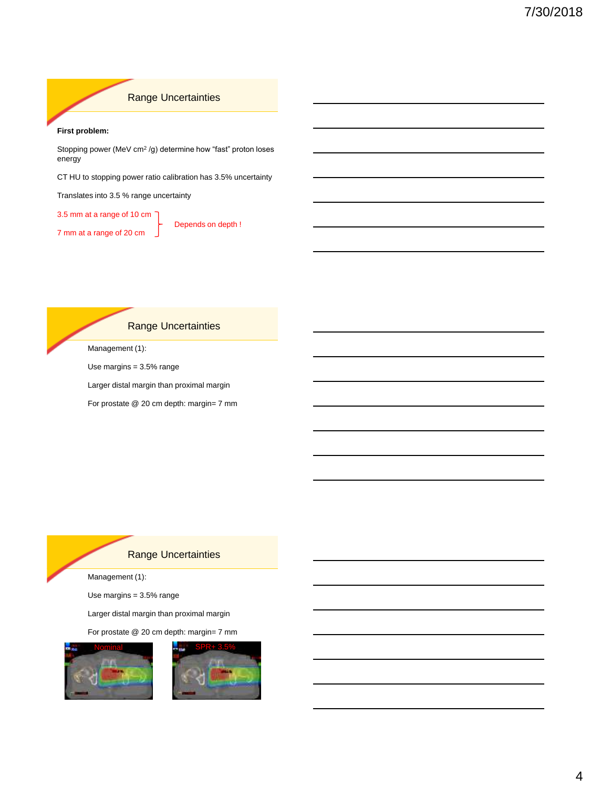### Range Uncertainties

#### **First problem:**

Stopping power (MeV cm<sup>2</sup>/g) determine how "fast" proton loses energy

CT HU to stopping power ratio calibration has 3.5% uncertainty

Translates into 3.5 % range uncertainty

3.5 mm at a range of 10 cm

7 mm at a range of 20 cm

Depends on depth !

#### Range Uncertainties

Management (1):

Use margins = 3.5% range

Larger distal margin than proximal margin

For prostate @ 20 cm depth: margin= 7 mm

## Range Uncertainties

Management (1):

Use margins = 3.5% range

Larger distal margin than proximal margin

For prostate @ 20 cm depth: margin= 7 mm



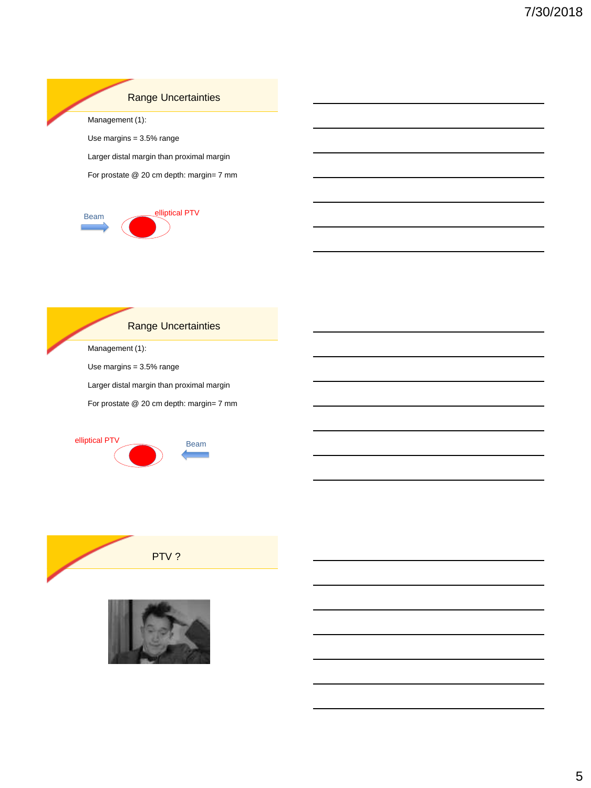## Range Uncertainties

Management (1):

Use margins = 3.5% range

Larger distal margin than proximal margin

For prostate @ 20 cm depth: margin= 7 mm



# Range Uncertainties

Management (1):

Use margins = 3.5% range

Larger distal margin than proximal margin

For prostate @ 20 cm depth: margin= 7 mm





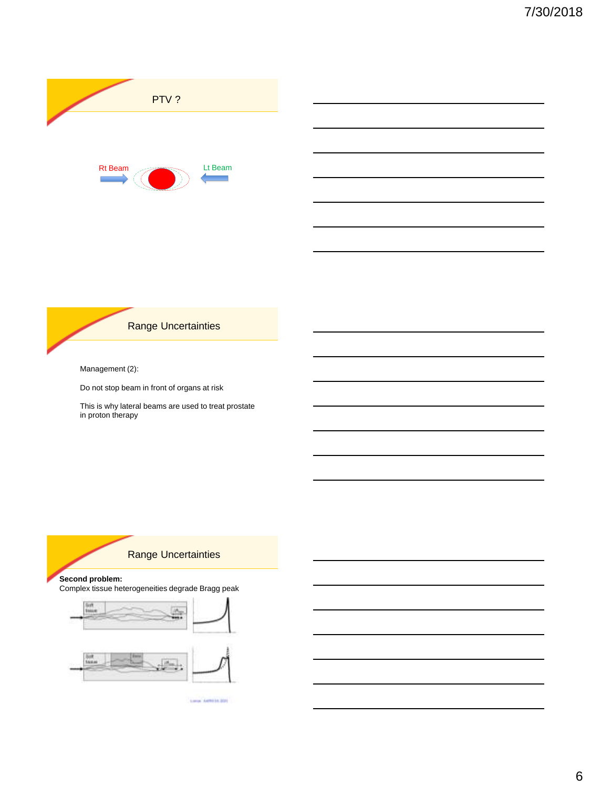



Management (2):

Do not stop beam in front of organs at risk

This is why lateral beams are used to treat prostate in proton therapy

## Range Uncertainties

**Second problem:** 

Complex tissue heterogeneities degrade Bragg peak



Lana, A49114.001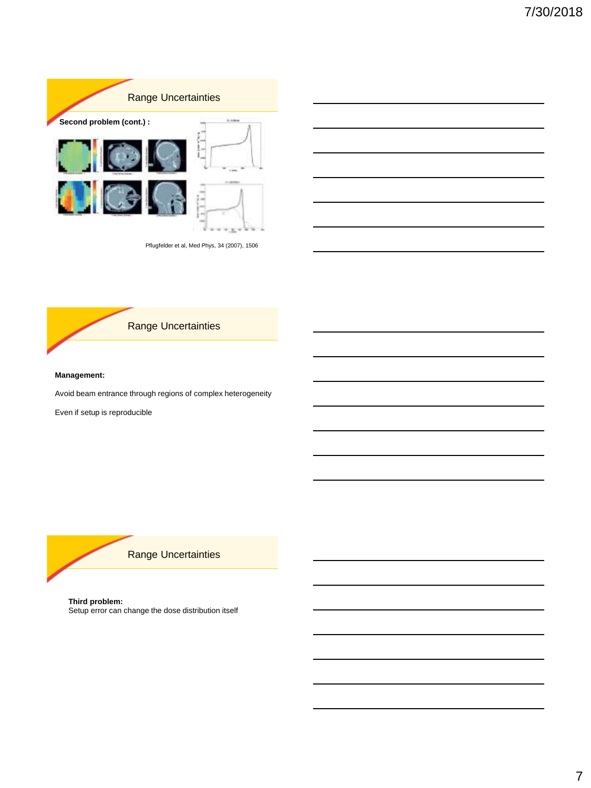

Pflugfelder et al, Med Phys, 34 (2007), 1506



#### **Management:**

Avoid beam entrance through regions of complex heterogeneity

Even if setup is reproducible



**Third problem:**  Setup error can change the dose distribution itself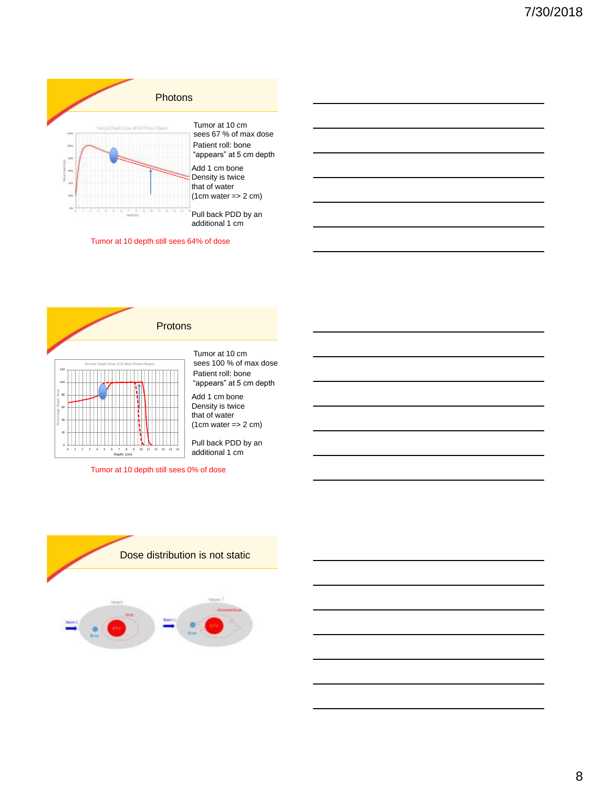

Tumor at 10 depth still sees 64% of dose



Tumor at 10 depth still sees 0% of dose

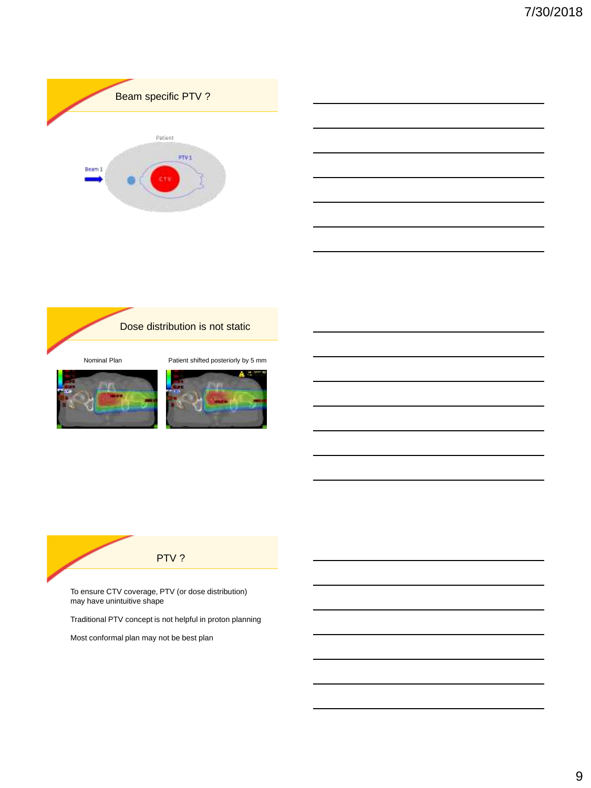



Nominal Plan Patient shifted posteriorly by 5 mm







To ensure CTV coverage, PTV (or dose distribution) may have unintuitive shape

Traditional PTV concept is not helpful in proton planning

Most conformal plan may not be best plan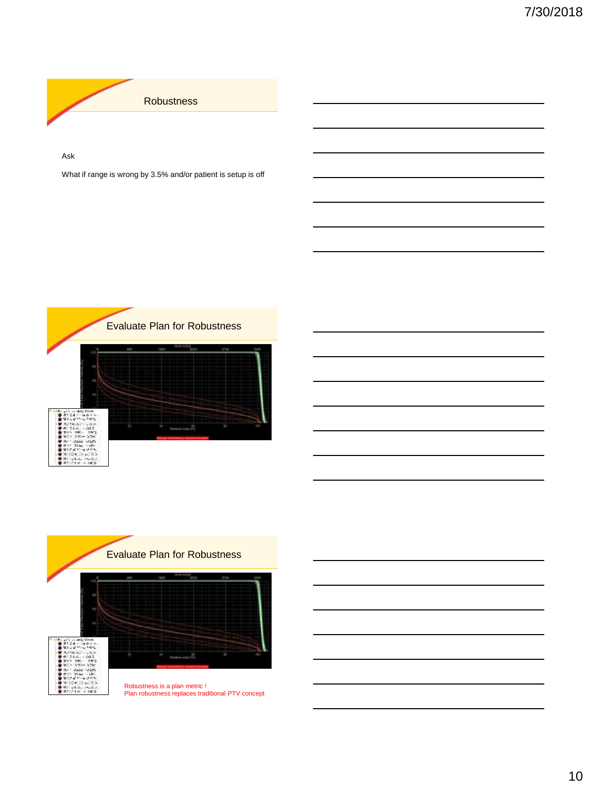

Ask

What if range is wrong by 3.5% and/or patient is setup is off



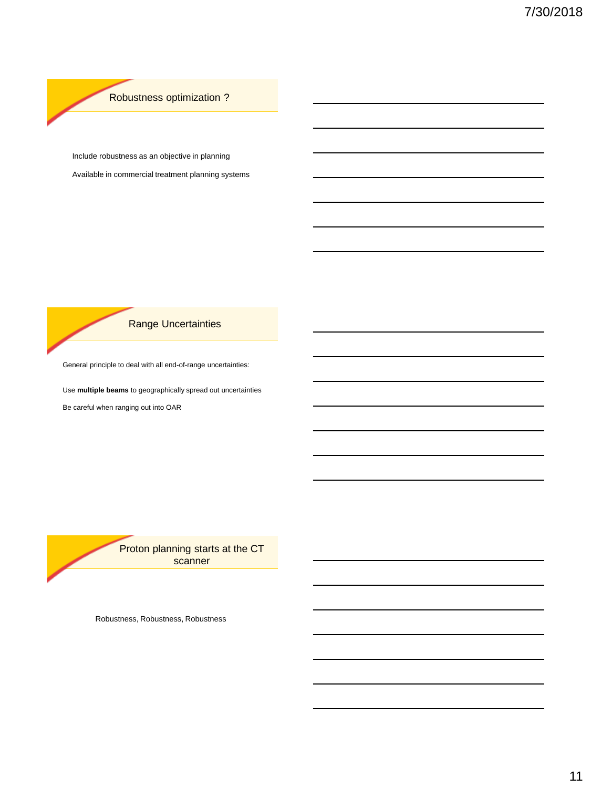Robustness optimization ?

Include robustness as an objective in planning

Available in commercial treatment planning systems

## Range Uncertainties

General principle to deal with all end-of-range uncertainties:

Use **multiple beams** to geographically spread out uncertainties Be careful when ranging out into OAR



Robustness, Robustness, Robustness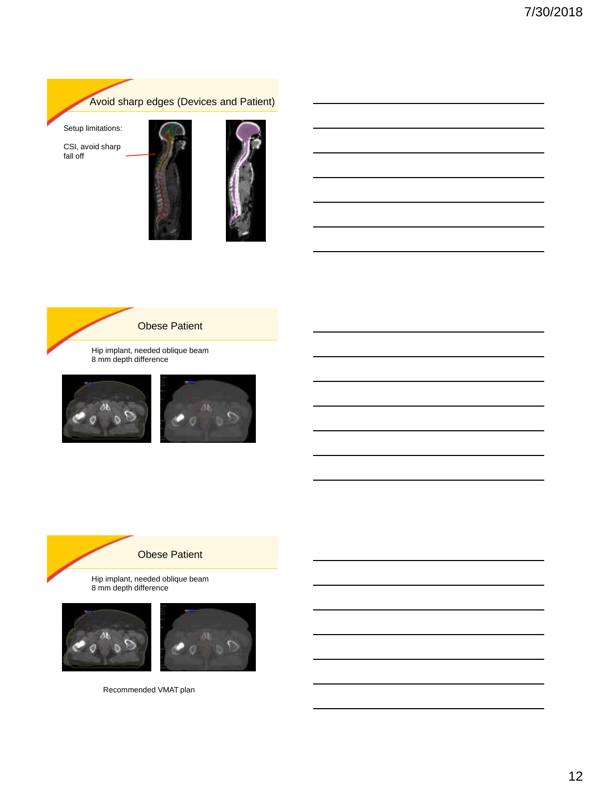



## Obese Patient

Hip implant, needed oblique beam 8 mm depth difference





## Obese Patient

Hip implant, needed oblique beam 8 mm depth difference





Recommended VMAT plan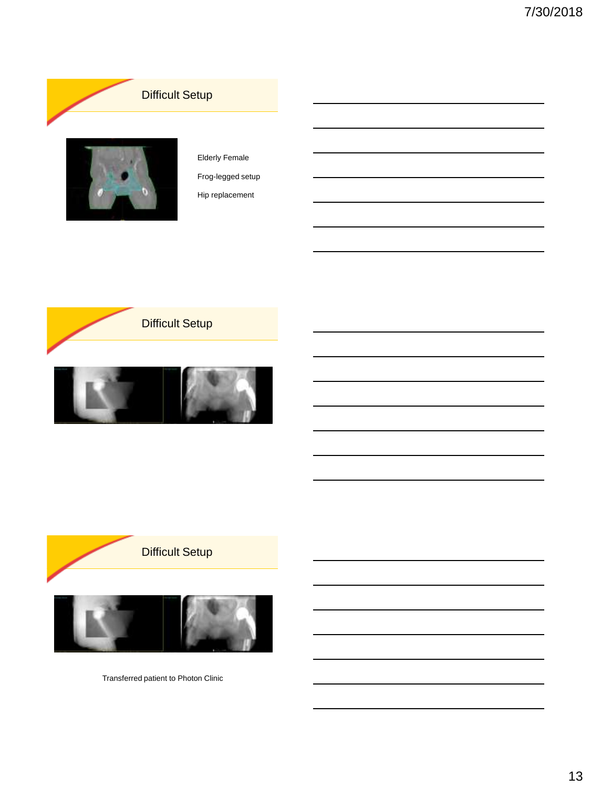# Difficult Setup



# Elderly Female

Frog-legged setup Hip replacement





Transferred patient to Photon Clinic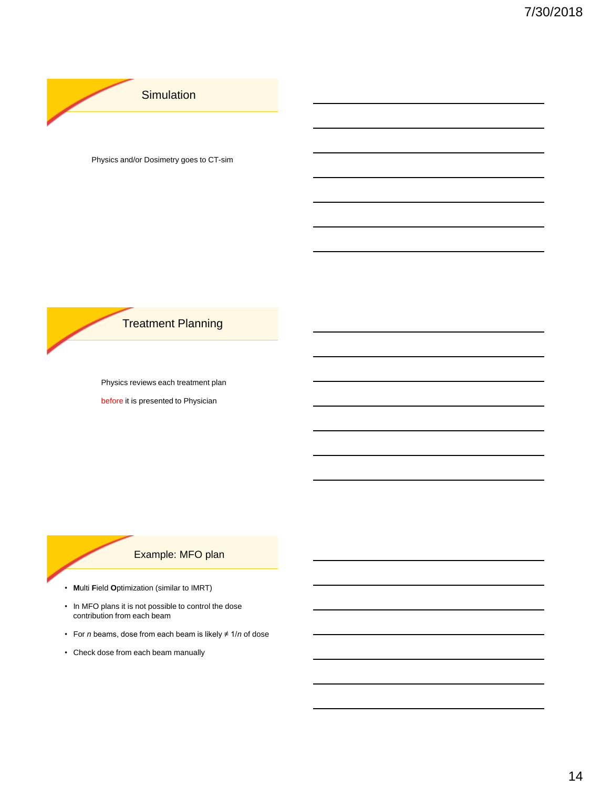

Physics and/or Dosimetry goes to CT-sim



Physics reviews each treatment plan

before it is presented to Physician

## Example: MFO plan

- **M**ulti **F**ield **O**ptimization (similar to IMRT)
- In MFO plans it is not possible to control the dose contribution from each beam
- For *n* beams, dose from each beam is likely ≠ 1/*n* of dose
- Check dose from each beam manually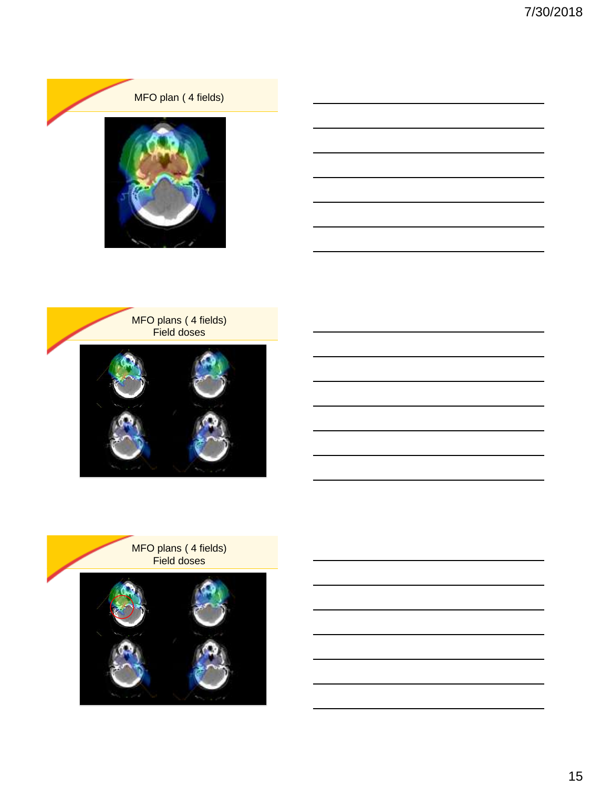

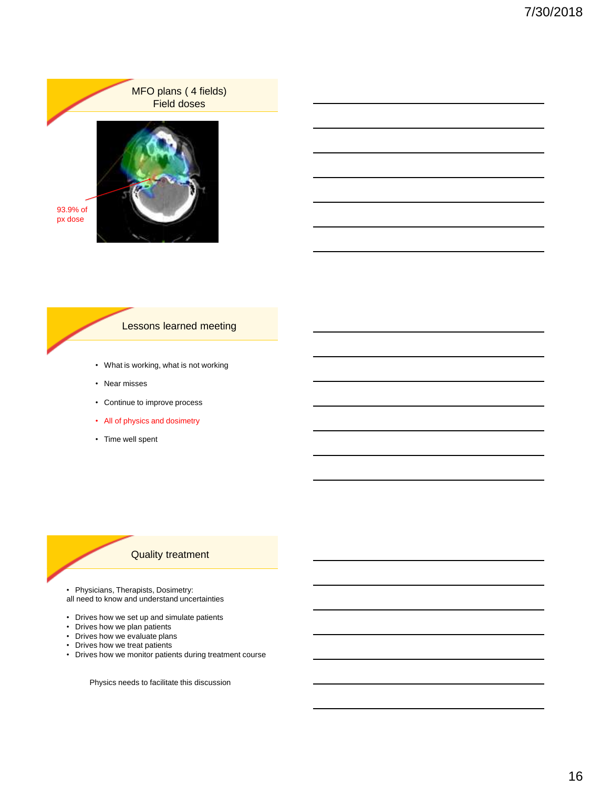

#### Lessons learned meeting

- What is working, what is not working
- Near misses
- Continue to improve process
- All of physics and dosimetry
- Time well spent

## Quality treatment

• Physicians, Therapists, Dosimetry: all need to know and understand uncertainties

- Drives how we set up and simulate patients
- Drives how we plan patients
- Drives how we evaluate plans
- Drives how we treat patients
- Drives how we monitor patients during treatment course

Physics needs to facilitate this discussion